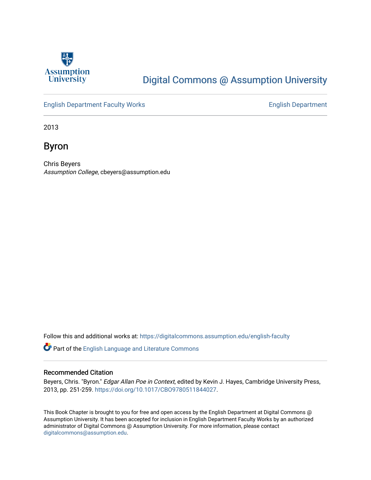

# [Digital Commons @ Assumption University](https://digitalcommons.assumption.edu/)

## [English Department Faculty Works](https://digitalcommons.assumption.edu/english-faculty) **English Department**

2013

Byron

Chris Beyers Assumption College, cbeyers@assumption.edu

Follow this and additional works at: [https://digitalcommons.assumption.edu/english-faculty](https://digitalcommons.assumption.edu/english-faculty?utm_source=digitalcommons.assumption.edu%2Fenglish-faculty%2F15&utm_medium=PDF&utm_campaign=PDFCoverPages) 

Part of the [English Language and Literature Commons](http://network.bepress.com/hgg/discipline/455?utm_source=digitalcommons.assumption.edu%2Fenglish-faculty%2F15&utm_medium=PDF&utm_campaign=PDFCoverPages)

### Recommended Citation

Beyers, Chris. "Byron." Edgar Allan Poe in Context, edited by Kevin J. Hayes, Cambridge University Press, 2013, pp. 251-259. <https://doi.org/10.1017/CBO9780511844027>.

This Book Chapter is brought to you for free and open access by the English Department at Digital Commons @ Assumption University. It has been accepted for inclusion in English Department Faculty Works by an authorized administrator of Digital Commons @ Assumption University. For more information, please contact [digitalcommons@assumption.edu](mailto:digitalcommons@assumption.edu).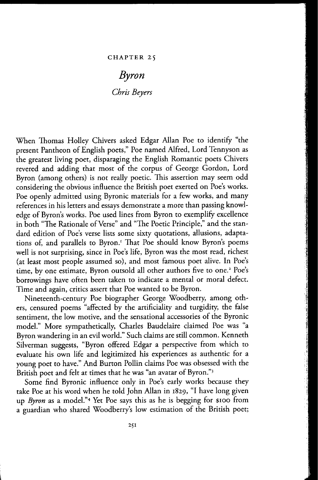### **CHAPTER 2 5**

## *Byron Chris Beyers*

When Thomas Holley Chivers asked Edgar Allan Poe to identify "the present Pantheon of English poets," Poe named Alfred, Lord Tennyson as the greatest living poet, disparaging the English Romantic poets Chivers revered and adding that most of the corpus of George Gordon, Lord Byron (among others) is not really poetic. This assertion may seem odd considering the obvious influence the British poet exerted on Poe's works. Poe openly admitted using Byronic materials for a few works, and many references in his letters and essays demonstrate a more than passing knowledge of Byron's works. Poe used lines from Byron to exemplify excellence in both "The Rationale of Verse" and "The Poetic Principle," and the standard edition of Poe's verse lists some sixty quotations, allusions, adaptations of, and parallels to Byron.<sup>1</sup> That Poe should know Byron's poems well is not surprising, since in Poe's life, Byron was the most read, richest (at least most people assumed so), and most famous poet alive. In Poe's time, by one estimate, Byron outsold all other authors five to one.<sup>2</sup> Poe's borrowings have often been taken to indicate a mental or moral defect. Time and again, critics assert that Poe wanted to be Byron.

Nineteenth-century Poe biographer George Woodberry, among others, censured poems "affected by the artificiality and turgidity, the false sentiment, the low motive, and the sensational accessories of the Byronic model." More sympathetically, Charles Baudelaire claimed Poe was "a Byron wandering in an evil world." Such claims are still common. Kenneth Silverman suggests, "Byron offered Edgar a perspective from which to evaluate his own life and legitimized his experiences as authentic for a young poet to have." And Burton Pollin claims Poe was obsessed with the British poet and felt at times that he was "an avatar of Byron."<sup>3</sup>

Some find Byronic influence only in Poe's early works because they take Poe at his word when he told John Allan in 1829, "I have long given up *Byron* as a model."4 Yet Poe says this as he is begging for \$100 from a guardian who shared Woodberry's low estimation of the British poet;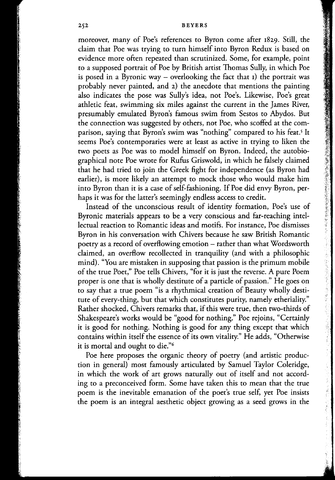moreover, many of Poe's references to Byron come after 1829. Still, the claim that Poe was trying to turn himself into Byron Redux is based on evidence more often repeated than scrutinized. Some, for example, point to a supposed portrait of Poe by British artist Thomas Sully, in which Poe is posed in a Byronic way – overlooking the fact that  $i$ ) the portrait was probably never painted, and 2) the anecdote that mentions the painting also indicates the pose was Sully's idea, not Poe's. Likewise, Poe's great athletic feat, swimming six miles against the current in the James River, presumably emulated Byron's famous swim from Sestos to Abydos. But the connection was suggested by others, not Poe, who scoffed at the comparison, saying that Byron's swim was "nothing" compared to his feat.<sup>5</sup> It seems Poe's contemporaries were at least as active in trying to liken the two poets as Poe was to model himself on Byron. Indeed, the autobiographical note Poe wrote for Rufus Griswold, in which he falsely claimed that he had tried to join the Greek fight for independence (as Byron had earlier), is more likely an attempt to mock those who would make him into Byron than it is a case of self-fashioning. If Poe did envy Byron, perhaps it was for the latter's seemingly endless access to credit.

医腹膜炎 医血管

Instead of the unconscious result of identity formation, Poe's use of Byronic materials appears to be a very conscious and far-reaching intellectual reaction to Romantic ideas and motifs. For instance, Poe dismisses Byron in his conversation with Chivers because he saw British Romantic poetry as a record of overflowing emotion - rather than what Wordsworth claimed, an overflow recollected in tranquility (and with a philosophic mind). "You are mistaken in supposing that passion is the primum mobile of the true Poet," Poe tells Chivers, "for it is just the reverse. A pure Poem proper is one that is wholly destitute of a particle of passion." He goes on to say that a true poem "is a rhythmical creation of Beauty wholly destitute of every-thing, but that which constitutes purity, namely etheriality." Rather shocked, Chivers remarks that, if this were true, then two-thirds of Shakespeare's works would be "good for nothing." Poe rejoins, "Certainly it is good for nothing. Nothing is good for any thing except that which contains within itself the essence of its own vitality." He adds, "Otherwise it is mortal and ought to die." 6

Poe here proposes the organic theory of poetry (and artistic production in general) most famously articulated by Samuel Taylor Coleridge, in which the work of art grows naturally out of itself and not according to a preconceived form. Some have taken this to mean that the true poem is the inevitable emanation of the poet's true self, yet Poe insists the poem is an integral aesthetic object growing as a seed grows in the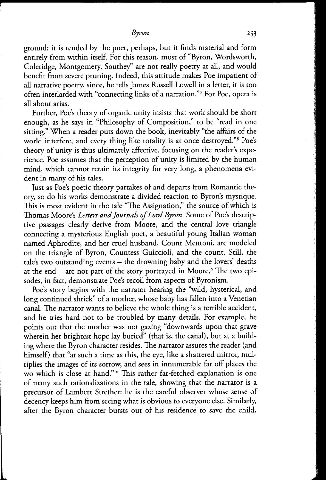### *Byron* 253

ground: it is tended by the poet, perhaps, but it finds material and form entirely from within itself. For this reason, most of "Byron, Wordsworth, Coleridge, Montgomery, Southey" are not really poetry at all, and would benefit from severe pruning. Indeed, this attitude makes Poe impatient of all narrative poetry, since, he tells James Russell Lowell in a letter, it is too often interlarded with "connecting links of a narration."7 For Poe, opera is all about arias.

Further, Poe's theory of organic unity insists that work should be short enough, as he says in "Philosophy of Composition," to be "read in one sitting." When a reader puts down the book, inevitably "the affairs of the world interfere, and every thing like totality is at once destroyed."<sup>8</sup> Poe's theory of unity is thus ultimately affective, focusing on the reader's experience. Poe assumes that the perception of unity is limited by the human mind, which cannot retain its integrity for very long, a phenomena evident in many of his tales.

Just as Poe's poetic theory partakes of and departs from Romantic theory, so do his works demonstrate a divided reaction to Byron's mystique. This is most evident in the tale "The Assignation," the source of which is Thomas Moore's *Letters and Journals of Lord Byron.* Some of Poe's descriptive passages clearly derive from Moore, and the central love triangle connecting a mysterious English poet, a beautiful young Italian woman named Aphrodite, and her cruel husband, Count Mentoni, are modeled on the triangle of Byron, Countess Guiccioli, and the count. Still, the tale's two outstanding events — the drowning baby and the lovers' deaths tale's two outstanding events – the drowning baby and the lovers' deaths<br>at the end – are not part of the story portrayed in Moore.<sup>9</sup> The two episodes, in fact, demonstrate Poe's recoil from aspects of Byronism.

Poe's story begins with the narrator hearing the "wild, hysterical, and long continued shriek" of a mother, whose baby has fallen into a Venetian canal. The narrator wants to believe the whole thing is a terrible accident, and he tries hard not to be troubled by many details. For example, he points out that the mother was not gazing "downwards upon that grave wherein her brightest hope lay buried" (that is, the canal), but at a building where the Byron character resides. The narrator assures the reader (and himself) that "at such a time as this, the eye, like a shattered mirror, multiplies the images of its sorrow, and sees in innumerable far off places the wo which is close at hand."<sup>10</sup> This rather far-fetched explanation is one of many such rationalizations in the tale, showing that the narrator is a precursor of Lambert Strether: he is the careful observer whose sense of decency keeps him from seeing what is obvious to everyone else. Similarly, after the Byron character bursts out of his residence to save the child,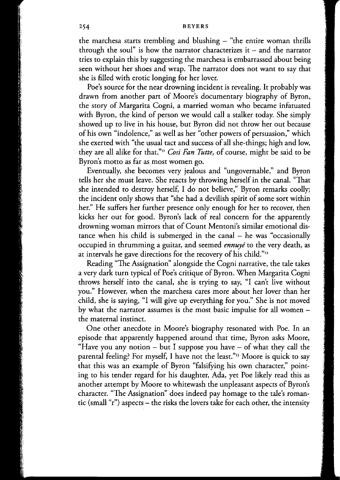the marchesa starts trembling and blushing - "the entire woman thrills through the soul" is how the narrator characterizes it  $-$  and the narrator tries to explain this by suggesting the marchesa is embarrassed about being seen without her shoes and wrap. The narrator does not want to say that she is filled with erotic longing for her lover.

Poe's source for the near drowning incident is revealing. It probably was drawn from another part of Moore's documentary biography of Byron, the story of Margarita Cogni, a married woman who became infatuated with Byron, the kind of person we would call a stalker today. She simply showed up to live in his house, but Byron did not throw her out because of his own "indolence," as well as her "other powers of persuasion," which she exerted with "the usual tact and success of all she-things; high and low, they are all alike for that."11 *Cosi Fan Tutte,* of course, might be said to be Byron's motto as far as most women go.

Eventually, she becomes very jealous and "ungovernable," and Byron tells her she must leave. She reacts by throwing herself in the canal. "That she intended to destroy herself, I do not believe," Byron remarks coolly; the incident only shows that "she had a devilish spirit of some sort within her." He suffers her further presence only enough for her to recover, then kicks her out for good. Byron's lack of real concern for the apparently drowning woman mirrors that of Count Mentoni's similar emotional distance when his child is submerged in the canal — he was "occasionally occupied in thrumming a guitar, and seemed *ennuye* to the very death, as at intervals he gave directions for the recovery of his child."<sup>12</sup>

Reading "The Assignation" alongside the Cogni narrative, the tale takes a very dark turn typical of Poe's critique of Byron. When Margarita Cogni throws herself into the canal, she is trying to say, "I can't live without you." However, when the marchesa cares more about her lover than her child, she is saying, "I will give up everything for you." She is not moved by what the narrator assumes is the most basic impulse for all women the maternal instinct.

One other anecdote in Moore's biography resonated with Poe. In an episode that apparently happened around that time, Byron asks Moore, "Have you any notion  $-$  but I suppose you have  $-$  of what they call the parental feeling? For myself, I have not the least."13 Moore is quick to say that this was an example of Byron "falsifying his own character," pointing to his tender regard for his daughter, Ada, yet Poe likely read this as another attempt by Moore to whitewash the unpleasant aspects of Byron's character. "The Assignation" does indeed pay homage to the tale's romantic (small "r") aspects — the risks the lovers take for each other, the intensity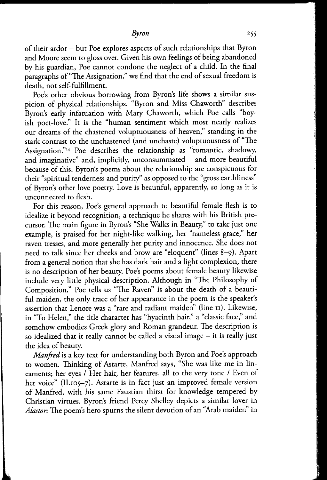of their ardor — but Poe explores aspects of such relationships that Byron and Moore seem to gloss over. Given his own feelings of being abandoned by his guardian, Poe cannot condone the neglect of a child. In the final paragraphs of "The Assignation," we find that the end of sexual freedom is death, not self-fulfillment.

Poe's other obvious borrowing from Byron's life shows a similar suspicion of physical relationships. "Byron and Miss Chaworth" describes Byron's early infatuation with Mary Chaworth, which Poe calls "boyish poet-love." It is the "human sentiment which most nearly realizes our dreams of the chastened voluptuousness of heaven," standing in the stark contrast to the unchastened (and unchaste) voluptuousness of "The Assignation."<sup>14</sup> Poe describes the relationship as "romantic, shadowy, and imaginative" and, implicitly, unconsummated - and more beautiful because of this. Byron's poems about the relationship are conspicuous for their "spiritual tenderness and purity" as opposed to the "gross earthliness" of Byron's other love poetry. Love is beautiful, apparently, so long as it is unconnected to flesh.

For this reason, Poe's general approach to beautiful female flesh is to idealize it beyond recognition, a technique he shares with his British precursor. The main figure in Byron's "She Walks in Beauty," to take just one example, is praised for her night-like walking, her "nameless grace," her raven tresses, and more generally her purity and innocence. She does not need to talk since her cheeks and brow are "eloquent" (lines 8-9). Apart from a general notion that she has dark hair and a light complexion, there is no description of her beauty. Poe's poems about female beauty likewise include very little physical description. Although in "The Philosophy of Composition," Poe tells us "The Raven" is about the death of a beautiful maiden, the only trace of her appearance in the poem is the speaker's assertion that Lenore was a "rare and radiant maiden" (line 11). Likewise, in "To Helen," the title character has "hyacinth hair," a "classic face," and somehow embodies Greek glory and Roman grandeur. The description is so idealized that it really cannot be called a visual image  $-$  it is really just the idea of beauty.

*Manfred* is a key text for understanding both Byron and Poe's approach to women. Thinking of Astarte, Manfred says, "She was like me in lineaments; her eyes / Her hair, her features, all to the very tone / Even of her voice" (II.105-7). Astarte is in fact just an improved female version of Manfred, with his same Faustian thirst for knowledge tempered by Christian virtues. Byron's friend Percy Shelley depicts a similar lover in *Alastor.* The poem's hero spurns the silent devotion of an "Arab maiden" in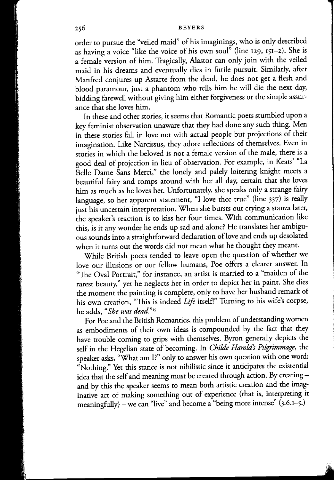order to pursue the "veiled maid" of his imaginings, who is only described as having a voice "like the voice of his own soul" (line 129, 151-2). She is a female version of him. Tragically, Alastor can only join with the veiled maid in his dreams and eventually dies in futile pursuit. Similarly, after Manfred conjures up Astarte from the dead, he does not get a flesh and blood paramour, just a phantom who tells him he will die the next day, bidding farewell without giving him either forgiveness or the simple assurance that she loves him.

In these and other stories, it seems that Romantic poets stumbled upon a key feminist observation unaware that they had done any such thing. Men in these stories fall in love not with actual people but projections of their imagination. Like Narcissus, they adore reflections of themselves. Even in stories in which the beloved is not a female version of the male, there is a good deal of projection in lieu of observation. For example, in Keats' "La Belle Dame Sans Merci," the lonely and palely loitering knight meets a beautiful fairy and romps around with her all day, certain that she loves him as much as he loves her. Unfortunately, she speaks only a strange fairy language, so her apparent statement, "I love thee true" (line 337) is really just his uncertain interpretation. When she bursts out crying a stanza later, the speaker's reaction is to kiss her four times. With communication like this, is it any wonder he ends up sad and alone? He translates her ambiguous sounds into a straightforward declaration of love and ends up desolated when it turns out the words did not mean what he thought they meant.

While British poets tended to leave open the question of whether we love our illusions or our fellow humans, Poe offers a clearer answer. In "The Oval Portrait," for instance, an artist is married to a "maiden of the rarest beauty," yet he neglects her in order to depict her in paint. She dies the moment the painting is complete, only to have her husband remark of his own creation, "This is indeed *Life* itself!" Turning to his wife's corpse, he adds, *"She was dead" I5* 

For Poe and the British Romantics, this problem of understanding women as embodiments of their own ideas is compounded by the fact that they have trouble coming to grips with themselves. Byron generally depicts the self in the Hegelian state of becoming. In *Childe Harold's Pilgrimmage*, the speaker asks, "What am I?" only to answer his own question with one word: "Nothing." Yet this stance is not nihilistic since it anticipates the existential idea that the self and meaning must be created through action. By creating and by this the speaker seems to mean both artistic creation and the imaginative act of making something out of experience (that is, interpreting it meaningfully) – we can "live" and become a "being more intense"  $(3.6.1 - 5.1)$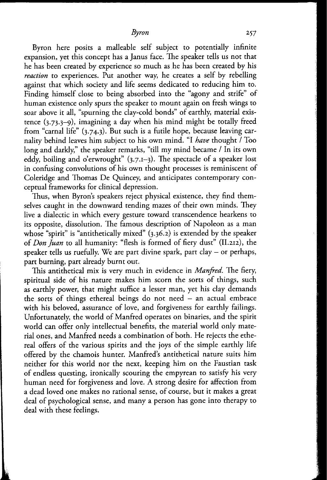Byron here posits a malleable self subject to potentially infinite expansion, yet this concept has a Janus face. The speaker tells us not that he has been created by experience so much as he has been created by his *reaction* to experiences. Put another way, he creates a self by rebelling against that which society and life seems dedicated to reducing him to. Finding himself close to being absorbed into the "agony and strife" of human existence only spurs the speaker to mount again on fresh wings to soar above it all, "spurning the clay-cold bonds" of earthly, material existence (3.73.3-9), imagining a day when his mind might be totally freed from "carnal life" (3.74.3). But such is a futile hope, because leaving carnality behind leaves him subject to his own mind. "I *have* thought / Too long and darkly," the speaker remarks, "till my mind became / In its own eddy, boiling and o'erwrought" (3.7.1-3). The spectacle of a speaker lost in confusing convolutions of his own thought processes is reminiscent of Coleridge and Thomas De Quincey, and anticipates contemporary conceptual frameworks for clinical depression.

Thus, when Byron's speakers reject physical existence, they find themselves caught in the downward tending mazes of their own minds. They live a dialectic in which every gesture toward transcendence hearkens to its opposite, dissolution. The famous description of Napoleon as a man whose "spirit" is "antithetically mixed" (3.36.2) is extended by the speaker of *Don Juan* to all humanity: "flesh is formed of fiery dust" (II.212), the speaker tells us ruefully. We are part divine spark, part clay  $-$  or perhaps, part burning, part already burnt out.

This antithetical mix is very much in evidence in *Manfred.* The fiery, spiritual side of his nature makes him scorn the sorts of things, such as earthly power, that might suffice a lesser man, yet his clay demands the sorts of things ethereal beings do not need - an actual embrace with his beloved, assurance of love, and forgiveness for earthly failings. Unfortunately, the world of Manfred operates on binaries, and the spirit world can offer only intellectual benefits, the material world only material ones, and Manfred needs a combination of both. He rejects the ethereal offers of the various spirits and the joys of the simple earthly life offered by the chamois hunter. Manfred's antithetical nature suits him neither for this world nor the next, keeping him on the Faustian task of endless questing, ironically scouring the empyrean to satisfy his very human need for forgiveness and love. A strong desire for affection from a dead loved one makes no rational sense, of course, but it makes a great deal of psychological sense, and many a person has gone into therapy to deal with these feelings.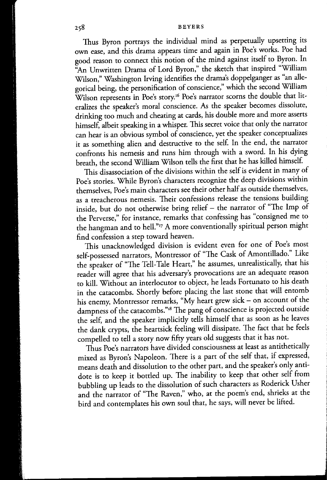### 258 **B E Y ERS**

Thus Byron portrays the individual mind as perpetually upsetting its own ease, and this drama appears time and again in Poe's works. Poe had good reason to connect this notion of the mind against itself to Byron. In "An Unwritten Drama of Lord Byron," the sketch that inspired "William Wilson," Washington Irving identifies the drama's doppelganger as "an allegorical being, the personification of conscience," which the second William Wilson represents in Poe's story.16 Poe's narrator scorns the double that literalizes the speaker's moral conscience. As the speaker becomes dissolute, drinking too much and cheating at cards, his double more and more asserts himself, albeit speaking in a whisper. This secret voice that only the narrator can hear is an obvious symbol of conscience, yet the speaker conceptualizes it as something alien and destructive to the self. In the end, the narrator confronts his nemesis and runs him through with a sword. In his dying breath, the second William Wilson tells the first that he has killed himself.

This disassociation of the divisions within the self is evident in many of Poe's stories. While Byron's characters recognize the deep divisions within themselves, Poe's main characters see their other half as outside themselves, as a treacherous nemesis. Their confessions release the tensions building inside, but do not otherwise bring relief - the narrator of "The Imp of the Perverse," for instance, remarks that confessing has "consigned me to the hangman and to hell."17 A more conventionally spiritual person might find confession a step toward heaven.

This unacknowledged division is evident even for one of Poe's most self-possessed narrators, Montressor of "The Cask of Amontillado." Like the speaker of "The Tell-Tale Heart," he assumes, unrealistically, that his reader will agree that his adversary's provocations are an adequate reason to kill. Without an interlocutor to object, he leads Fortunato to his death in the catacombs. Shortly before placing the last stone that will entomb his enemy, Montressor remarks, "My heart grew sick - on account of the dampness of the catacombs."18 The pang of conscience is projected outside the self, and the speaker implicitly tells himself that as soon as he leaves the dank crypts, the heartsick feeling will dissipate. The fact that he feels compelled to tell a story now fifty years old suggests that it has not.

Thus Poe's narrators have divided consciousness at least as antithetically mixed as Byron's Napoleon. There is a part of the self that, if expressed, means death and dissolution to the other part, and the speaker's only antidote is to keep it bottled up. The inability to keep that other self from bubbling up leads to the dissolution of such characters as Roderick Usher and the narrator of "The Raven," who, at the poem's end, shrieks at the bird and contemplates his own soul that, he says, will never be lifted.